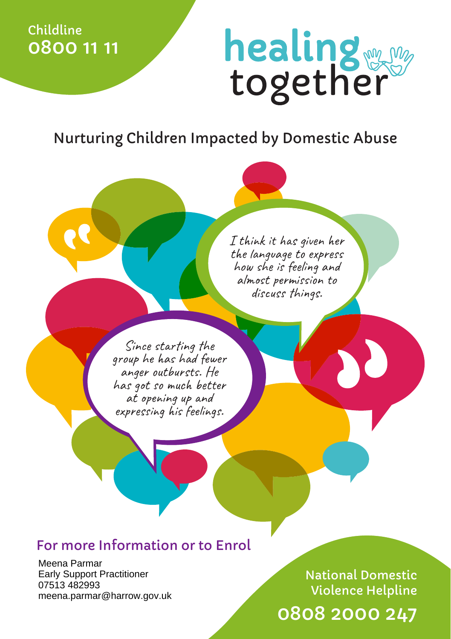Childline 0800 11 11

## healing

Nurturing Children Impacted by Domestic Abuse

I think it has given her the language to express how she is feeling and almost permission to discuss things.

Since starting the group he has had fewer anger outbursts. He has got so much better at opening up and expressing his feelings.

## For more Information or to Enrol

Meena Parmar Early Support Practitioner 07513 482993 meena.parmar@harrow.gov.uk

0808 2000 247 National Domestic Violence Helpline